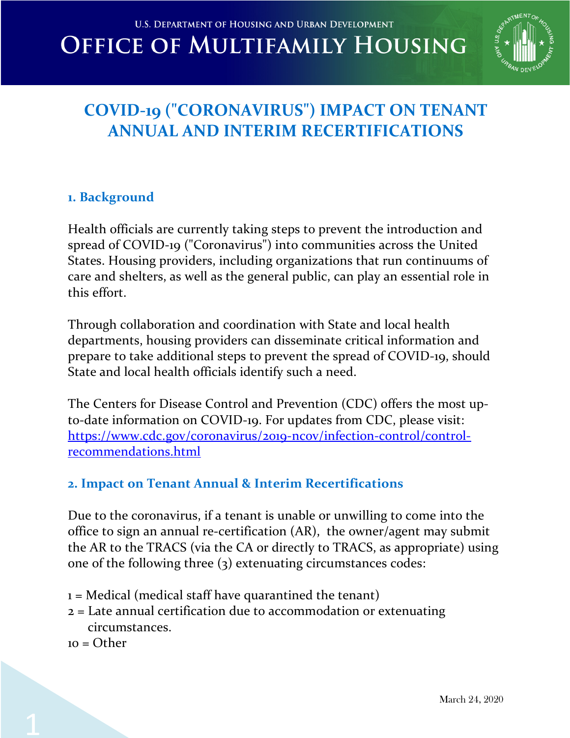

## **COVID-19 ("CORONAVIRUS") IMPACT ON TENANT ANNUAL AND INTERIM RECERTIFICATIONS**

#### **1. Background**

Health officials are currently taking steps to prevent the introduction and spread of COVID-19 ("Coronavirus") into communities across the United States. Housing providers, including organizations that run continuums of care and shelters, as well as the general public, can play an essential role in this effort.

Through collaboration and coordination with State and local health departments, housing providers can disseminate critical information and prepare to take additional steps to prevent the spread of COVID-19, should State and local health officials identify such a need.

The Centers for Disease Control and Prevention (CDC) offers the most upto-date information on COVID-19. For updates from CDC, please visit: https://www.cdc.gov/coronavirus/2019-ncov/infection-control/controlrecommendations.html

### **2. Impact on Tenant Annual & Interim Recertifications**

Due to the coronavirus, if a tenant is unable or unwilling to come into the office to sign an annual re-certification (AR), the owner/agent may submit the AR to the TRACS (via the CA or directly to TRACS, as appropriate) using one of the following three (3) extenuating circumstances codes:

- $1 =$  Medical (medical staff have quarantined the tenant)
- 2 = Late annual certification due to accommodation or extenuating circumstances.
- $10 = \Omega$ ther